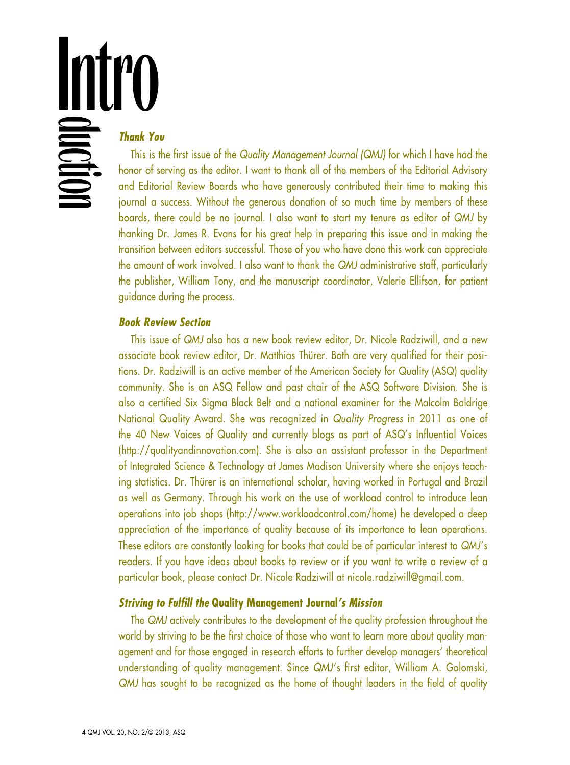**Intro** 

# *Thank You*

This is the first issue of the *Quality Management Journal (QMJ)* for which I have had the honor of serving as the editor. I want to thank all of the members of the Editorial Advisory and Editorial Review Boards who have generously contributed their time to making this journal a success. Without the generous donation of so much time by members of these boards, there could be no journal. I also want to start my tenure as editor of *QMJ* by thanking Dr. James R. Evans for his great help in preparing this issue and in making the transition between editors successful. Those of you who have done this work can appreciate the amount of work involved. I also want to thank the *QMJ* administrative staff, particularly the publisher, William Tony, and the manuscript coordinator, Valerie Ellifson, for patient guidance during the process.

## *Book Review Section*

This issue of *QMJ* also has a new book review editor, Dr. Nicole Radziwill, and a new associate book review editor, Dr. Matthias Thürer. Both are very qualified for their positions. Dr. Radziwill is an active member of the American Society for Quality (ASQ) quality community. She is an ASQ Fellow and past chair of the ASQ Software Division. She is also a certified Six Sigma Black Belt and a national examiner for the Malcolm Baldrige National Quality Award. She was recognized in *Quality Progress* in 2011 as one of the 40 New Voices of Quality and currently blogs as part of ASQ's Influential Voices (http://qualityandinnovation.com). She is also an assistant professor in the Department of Integrated Science & Technology at James Madison University where she enjoys teaching statistics. Dr. Thürer is an international scholar, having worked in Portugal and Brazil as well as Germany. Through his work on the use of workload control to introduce lean operations into job shops (http://www.workloadcontrol.com/home) he developed a deep appreciation of the importance of quality because of its importance to lean operations. These editors are constantly looking for books that could be of particular interest to *QMJ*'s readers. If you have ideas about books to review or if you want to write a review of a particular book, please contact Dr. Nicole Radziwill at nicole.radziwill@gmail.com.

### *Striving to Fulfill the* **Quality Management Journal***'s Mission*

The *QMJ* actively contributes to the development of the quality profession throughout the world by striving to be the first choice of those who want to learn more about quality management and for those engaged in research efforts to further develop managers' theoretical understanding of quality management. Since *QMJ*'s first editor, William A. Golomski, *QMJ* has sought to be recognized as the home of thought leaders in the field of quality